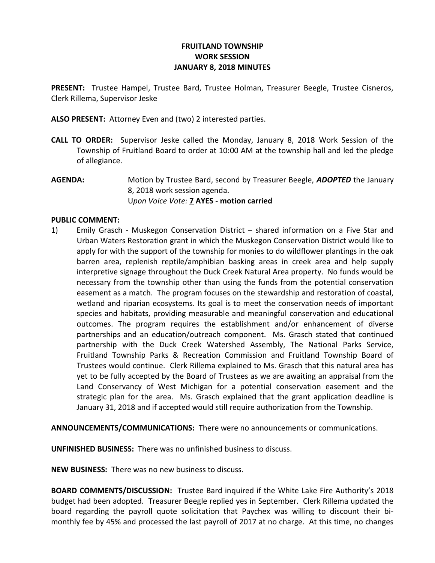## FRUITLAND TOWNSHIP WORK SESSION JANUARY 8, 2018 MINUTES

PRESENT: Trustee Hampel, Trustee Bard, Trustee Holman, Treasurer Beegle, Trustee Cisneros, Clerk Rillema, Supervisor Jeske

ALSO PRESENT: Attorney Even and (two) 2 interested parties.

- CALL TO ORDER: Supervisor Jeske called the Monday, January 8, 2018 Work Session of the Township of Fruitland Board to order at 10:00 AM at the township hall and led the pledge of allegiance.
- AGENDA: Motion by Trustee Bard, second by Treasurer Beegle, ADOPTED the January 8, 2018 work session agenda. Upon Voice Vote: 7 AYES - motion carried

## PUBLIC COMMENT:

1) Emily Grasch - Muskegon Conservation District – shared information on a Five Star and Urban Waters Restoration grant in which the Muskegon Conservation District would like to apply for with the support of the township for monies to do wildflower plantings in the oak barren area, replenish reptile/amphibian basking areas in creek area and help supply interpretive signage throughout the Duck Creek Natural Area property. No funds would be necessary from the township other than using the funds from the potential conservation easement as a match. The program focuses on the stewardship and restoration of coastal, wetland and riparian ecosystems. Its goal is to meet the conservation needs of important species and habitats, providing measurable and meaningful conservation and educational outcomes. The program requires the establishment and/or enhancement of diverse partnerships and an education/outreach component. Ms. Grasch stated that continued partnership with the Duck Creek Watershed Assembly, The National Parks Service, Fruitland Township Parks & Recreation Commission and Fruitland Township Board of Trustees would continue. Clerk Rillema explained to Ms. Grasch that this natural area has yet to be fully accepted by the Board of Trustees as we are awaiting an appraisal from the Land Conservancy of West Michigan for a potential conservation easement and the strategic plan for the area. Ms. Grasch explained that the grant application deadline is January 31, 2018 and if accepted would still require authorization from the Township.

ANNOUNCEMENTS/COMMUNICATIONS: There were no announcements or communications.

UNFINISHED BUSINESS: There was no unfinished business to discuss.

NEW BUSINESS: There was no new business to discuss.

BOARD COMMENTS/DISCUSSION: Trustee Bard inquired if the White Lake Fire Authority's 2018 budget had been adopted. Treasurer Beegle replied yes in September. Clerk Rillema updated the board regarding the payroll quote solicitation that Paychex was willing to discount their bimonthly fee by 45% and processed the last payroll of 2017 at no charge. At this time, no changes